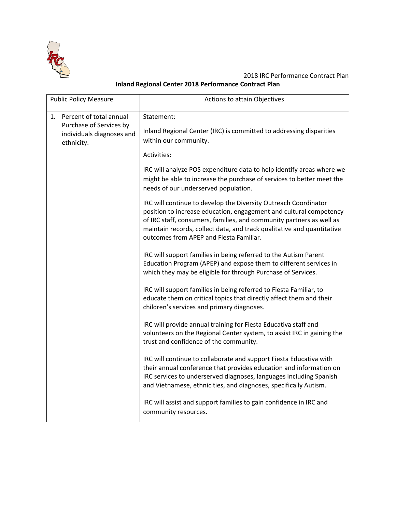

2018 IRC Performance Contract Plan **Inland Regional Center 2018 Performance Contract Plan**

| <b>Public Policy Measure</b>                                                                        | Actions to attain Objectives                                                                                                                                                                                                                                                                                                       |
|-----------------------------------------------------------------------------------------------------|------------------------------------------------------------------------------------------------------------------------------------------------------------------------------------------------------------------------------------------------------------------------------------------------------------------------------------|
| Percent of total annual<br>1.<br>Purchase of Services by<br>individuals diagnoses and<br>ethnicity. | Statement:<br>Inland Regional Center (IRC) is committed to addressing disparities<br>within our community.                                                                                                                                                                                                                         |
|                                                                                                     | Activities:                                                                                                                                                                                                                                                                                                                        |
|                                                                                                     | IRC will analyze POS expenditure data to help identify areas where we<br>might be able to increase the purchase of services to better meet the<br>needs of our underserved population.                                                                                                                                             |
|                                                                                                     | IRC will continue to develop the Diversity Outreach Coordinator<br>position to increase education, engagement and cultural competency<br>of IRC staff, consumers, families, and community partners as well as<br>maintain records, collect data, and track qualitative and quantitative<br>outcomes from APEP and Fiesta Familiar. |
|                                                                                                     | IRC will support families in being referred to the Autism Parent<br>Education Program (APEP) and expose them to different services in<br>which they may be eligible for through Purchase of Services.                                                                                                                              |
|                                                                                                     | IRC will support families in being referred to Fiesta Familiar, to<br>educate them on critical topics that directly affect them and their<br>children's services and primary diagnoses.                                                                                                                                            |
|                                                                                                     | IRC will provide annual training for Fiesta Educativa staff and<br>volunteers on the Regional Center system, to assist IRC in gaining the<br>trust and confidence of the community.                                                                                                                                                |
|                                                                                                     | IRC will continue to collaborate and support Fiesta Educativa with<br>their annual conference that provides education and information on<br>IRC services to underserved diagnoses, languages including Spanish<br>and Vietnamese, ethnicities, and diagnoses, specifically Autism.                                                 |
|                                                                                                     | IRC will assist and support families to gain confidence in IRC and<br>community resources.                                                                                                                                                                                                                                         |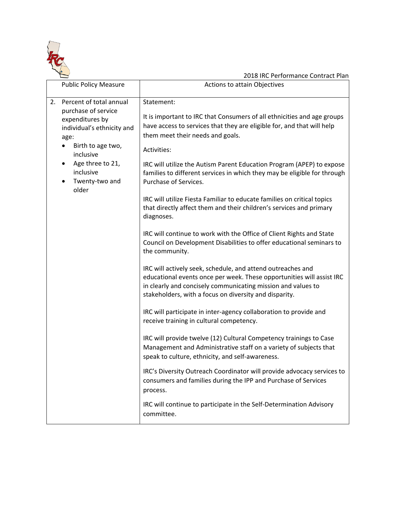

|                                                                                                                                                                                                                          | 2018 IRC Performance Contract Plan                                                                                                                                                                                                                                                                                                                                                                                                                                                                                                                                                                                                                                                                                                 |
|--------------------------------------------------------------------------------------------------------------------------------------------------------------------------------------------------------------------------|------------------------------------------------------------------------------------------------------------------------------------------------------------------------------------------------------------------------------------------------------------------------------------------------------------------------------------------------------------------------------------------------------------------------------------------------------------------------------------------------------------------------------------------------------------------------------------------------------------------------------------------------------------------------------------------------------------------------------------|
| <b>Public Policy Measure</b>                                                                                                                                                                                             | Actions to attain Objectives                                                                                                                                                                                                                                                                                                                                                                                                                                                                                                                                                                                                                                                                                                       |
| Percent of total annual<br>2.<br>purchase of service<br>expenditures by<br>individual's ethnicity and<br>age:<br>Birth to age two,<br>inclusive<br>Age three to 21,<br>$\bullet$<br>inclusive<br>Twenty-two and<br>older | Statement:<br>It is important to IRC that Consumers of all ethnicities and age groups<br>have access to services that they are eligible for, and that will help<br>them meet their needs and goals.<br>Activities:<br>IRC will utilize the Autism Parent Education Program (APEP) to expose<br>families to different services in which they may be eligible for through<br>Purchase of Services.<br>IRC will utilize Fiesta Familiar to educate families on critical topics<br>that directly affect them and their children's services and primary<br>diagnoses.<br>IRC will continue to work with the Office of Client Rights and State<br>Council on Development Disabilities to offer educational seminars to<br>the community. |
|                                                                                                                                                                                                                          | IRC will actively seek, schedule, and attend outreaches and<br>educational events once per week. These opportunities will assist IRC<br>in clearly and concisely communicating mission and values to<br>stakeholders, with a focus on diversity and disparity.                                                                                                                                                                                                                                                                                                                                                                                                                                                                     |
|                                                                                                                                                                                                                          | IRC will participate in inter-agency collaboration to provide and<br>receive training in cultural competency.                                                                                                                                                                                                                                                                                                                                                                                                                                                                                                                                                                                                                      |
|                                                                                                                                                                                                                          | IRC will provide twelve (12) Cultural Competency trainings to Case<br>Management and Administrative staff on a variety of subjects that<br>speak to culture, ethnicity, and self-awareness.                                                                                                                                                                                                                                                                                                                                                                                                                                                                                                                                        |
|                                                                                                                                                                                                                          | IRC's Diversity Outreach Coordinator will provide advocacy services to<br>consumers and families during the IPP and Purchase of Services<br>process.                                                                                                                                                                                                                                                                                                                                                                                                                                                                                                                                                                               |
|                                                                                                                                                                                                                          | IRC will continue to participate in the Self-Determination Advisory<br>committee.                                                                                                                                                                                                                                                                                                                                                                                                                                                                                                                                                                                                                                                  |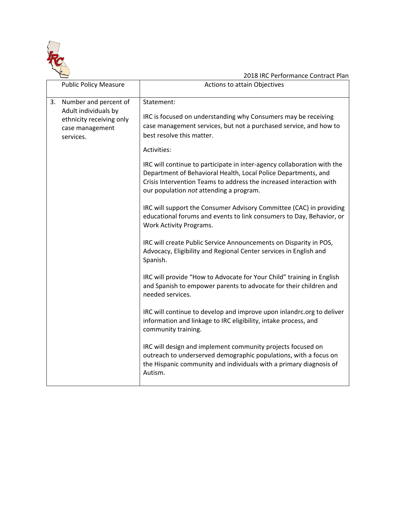

|    |                                                                                                           | 2018 IRC Performance Contract Plan                                                                                                                                                                                                                          |
|----|-----------------------------------------------------------------------------------------------------------|-------------------------------------------------------------------------------------------------------------------------------------------------------------------------------------------------------------------------------------------------------------|
|    | <b>Public Policy Measure</b>                                                                              | Actions to attain Objectives                                                                                                                                                                                                                                |
| 3. | Number and percent of<br>Adult individuals by<br>ethnicity receiving only<br>case management<br>services. | Statement:<br>IRC is focused on understanding why Consumers may be receiving<br>case management services, but not a purchased service, and how to<br>best resolve this matter.                                                                              |
|    |                                                                                                           | Activities:                                                                                                                                                                                                                                                 |
|    |                                                                                                           | IRC will continue to participate in inter-agency collaboration with the<br>Department of Behavioral Health, Local Police Departments, and<br>Crisis Intervention Teams to address the increased interaction with<br>our population not attending a program. |
|    |                                                                                                           | IRC will support the Consumer Advisory Committee (CAC) in providing<br>educational forums and events to link consumers to Day, Behavior, or<br>Work Activity Programs.                                                                                      |
|    |                                                                                                           | IRC will create Public Service Announcements on Disparity in POS,<br>Advocacy, Eligibility and Regional Center services in English and<br>Spanish.                                                                                                          |
|    |                                                                                                           | IRC will provide "How to Advocate for Your Child" training in English<br>and Spanish to empower parents to advocate for their children and<br>needed services.                                                                                              |
|    |                                                                                                           | IRC will continue to develop and improve upon inlandrc.org to deliver<br>information and linkage to IRC eligibility, intake process, and<br>community training.                                                                                             |
|    |                                                                                                           | IRC will design and implement community projects focused on<br>outreach to underserved demographic populations, with a focus on<br>the Hispanic community and individuals with a primary diagnosis of<br>Autism.                                            |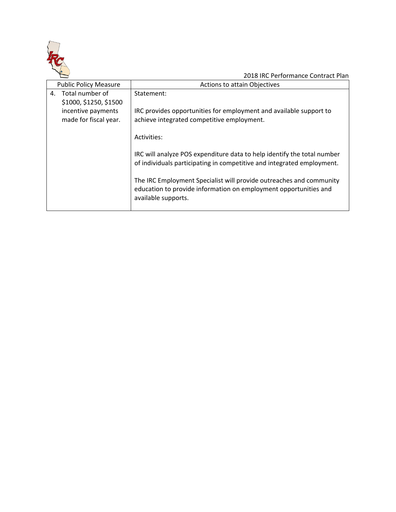

|    | <b>Public Policy Measure</b>                | <b>Actions to attain Objectives</b>                                                                                                                            |
|----|---------------------------------------------|----------------------------------------------------------------------------------------------------------------------------------------------------------------|
| 4. | Total number of<br>\$1000, \$1250, \$1500   | Statement:                                                                                                                                                     |
|    | incentive payments<br>made for fiscal year. | IRC provides opportunities for employment and available support to<br>achieve integrated competitive employment.                                               |
|    |                                             | Activities:                                                                                                                                                    |
|    |                                             | IRC will analyze POS expenditure data to help identify the total number<br>of individuals participating in competitive and integrated employment.              |
|    |                                             | The IRC Employment Specialist will provide outreaches and community<br>education to provide information on employment opportunities and<br>available supports. |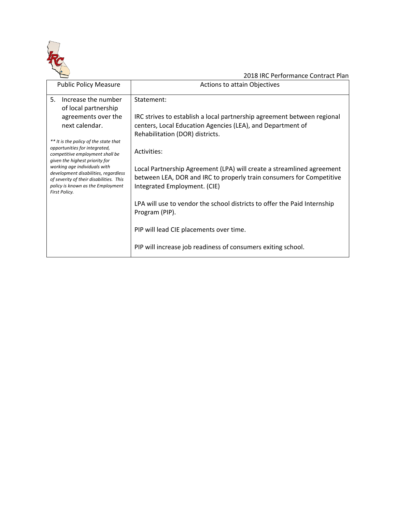

| <b>Public Policy Measure</b>                                                                                                                                          | <b>Actions to attain Objectives</b>                                                                                                                                           |
|-----------------------------------------------------------------------------------------------------------------------------------------------------------------------|-------------------------------------------------------------------------------------------------------------------------------------------------------------------------------|
| 5.<br>Increase the number<br>of local partnership                                                                                                                     | Statement:                                                                                                                                                                    |
| agreements over the<br>next calendar.                                                                                                                                 | IRC strives to establish a local partnership agreement between regional<br>centers, Local Education Agencies (LEA), and Department of<br>Rehabilitation (DOR) districts.      |
| ** It is the policy of the state that<br>opportunities for integrated,<br>competitive employment shall be<br>given the highest priority for                           | Activities:                                                                                                                                                                   |
| working age individuals with<br>development disabilities, regardless<br>of severity of their disabilities. This<br>policy is known as the Employment<br>First Policy. | Local Partnership Agreement (LPA) will create a streamlined agreement<br>between LEA, DOR and IRC to properly train consumers for Competitive<br>Integrated Employment. (CIE) |
|                                                                                                                                                                       | LPA will use to vendor the school districts to offer the Paid Internship<br>Program (PIP).                                                                                    |
|                                                                                                                                                                       | PIP will lead CIE placements over time.                                                                                                                                       |
|                                                                                                                                                                       | PIP will increase job readiness of consumers exiting school.                                                                                                                  |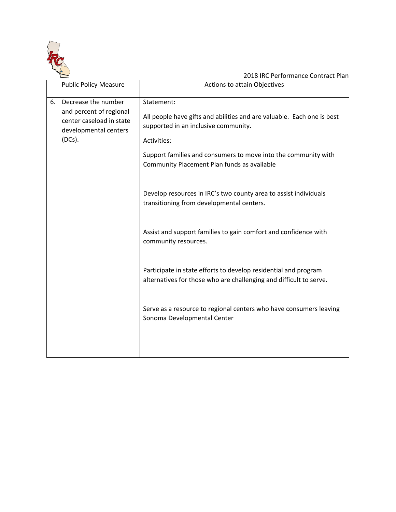

|    | <b>Public Policy Measure</b>                                                                                     | Actions to attain Objectives                                                                                                                                                                                                                                                                                                                                                  |
|----|------------------------------------------------------------------------------------------------------------------|-------------------------------------------------------------------------------------------------------------------------------------------------------------------------------------------------------------------------------------------------------------------------------------------------------------------------------------------------------------------------------|
| 6. | Decrease the number<br>and percent of regional<br>center caseload in state<br>developmental centers<br>$(DCs)$ . | Statement:<br>All people have gifts and abilities and are valuable. Each one is best<br>supported in an inclusive community.<br>Activities:<br>Support families and consumers to move into the community with<br>Community Placement Plan funds as available<br>Develop resources in IRC's two county area to assist individuals<br>transitioning from developmental centers. |
|    |                                                                                                                  | Assist and support families to gain comfort and confidence with<br>community resources.<br>Participate in state efforts to develop residential and program<br>alternatives for those who are challenging and difficult to serve.                                                                                                                                              |
|    |                                                                                                                  | Serve as a resource to regional centers who have consumers leaving<br>Sonoma Developmental Center                                                                                                                                                                                                                                                                             |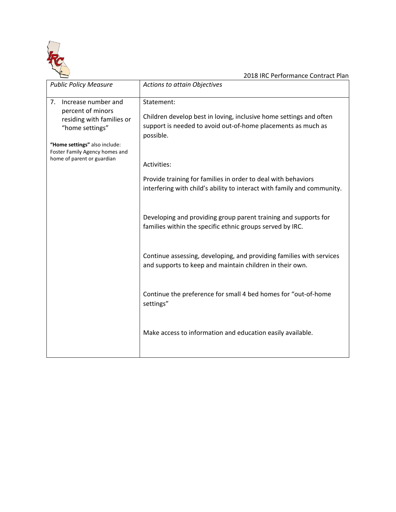

| <b>Public Policy Measure</b>                                                                                                    | Actions to attain Objectives                                                                                                                                  |
|---------------------------------------------------------------------------------------------------------------------------------|---------------------------------------------------------------------------------------------------------------------------------------------------------------|
| 7.<br>Increase number and<br>percent of minors<br>residing with families or<br>"home settings"<br>"Home settings" also include: | Statement:<br>Children develop best in loving, inclusive home settings and often<br>support is needed to avoid out-of-home placements as much as<br>possible. |
| Foster Family Agency homes and<br>home of parent or guardian                                                                    | Activities:                                                                                                                                                   |
|                                                                                                                                 | Provide training for families in order to deal with behaviors<br>interfering with child's ability to interact with family and community.                      |
|                                                                                                                                 | Developing and providing group parent training and supports for<br>families within the specific ethnic groups served by IRC.                                  |
|                                                                                                                                 | Continue assessing, developing, and providing families with services<br>and supports to keep and maintain children in their own.                              |
|                                                                                                                                 | Continue the preference for small 4 bed homes for "out-of-home<br>settings"                                                                                   |
|                                                                                                                                 | Make access to information and education easily available.                                                                                                    |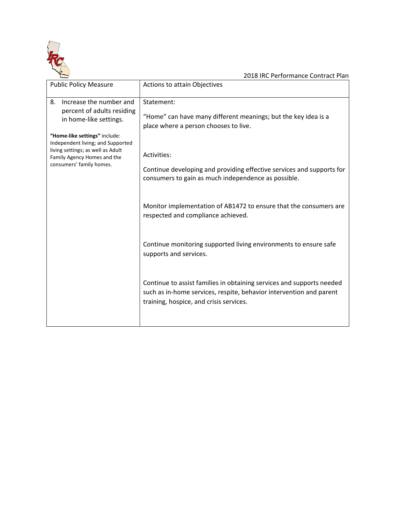

| <b>Public Policy Measure</b>                                                                                                                                                                                                                                | Actions to attain Objectives                                                                                                                                                                                                                                                                                                                                                                                                                                                                                                                                                                                                                                             |
|-------------------------------------------------------------------------------------------------------------------------------------------------------------------------------------------------------------------------------------------------------------|--------------------------------------------------------------------------------------------------------------------------------------------------------------------------------------------------------------------------------------------------------------------------------------------------------------------------------------------------------------------------------------------------------------------------------------------------------------------------------------------------------------------------------------------------------------------------------------------------------------------------------------------------------------------------|
| Increase the number and<br>8.<br>percent of adults residing<br>in home-like settings.<br>"Home-like settings" include:<br>Independent living; and Supported<br>living settings; as well as Adult<br>Family Agency Homes and the<br>consumers' family homes. | Statement:<br>"Home" can have many different meanings; but the key idea is a<br>place where a person chooses to live.<br>Activities:<br>Continue developing and providing effective services and supports for<br>consumers to gain as much independence as possible.<br>Monitor implementation of AB1472 to ensure that the consumers are<br>respected and compliance achieved.<br>Continue monitoring supported living environments to ensure safe<br>supports and services.<br>Continue to assist families in obtaining services and supports needed<br>such as in-home services, respite, behavior intervention and parent<br>training, hospice, and crisis services. |
|                                                                                                                                                                                                                                                             |                                                                                                                                                                                                                                                                                                                                                                                                                                                                                                                                                                                                                                                                          |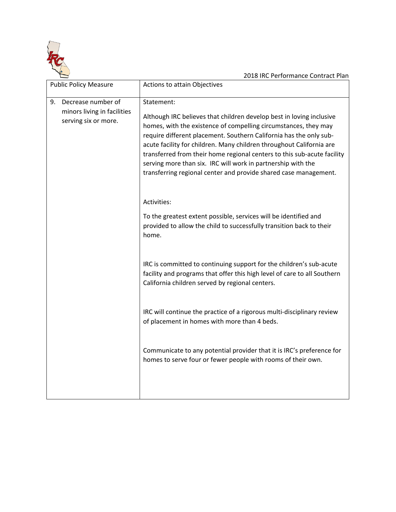

| <b>Public Policy Measure</b>                                                    | Actions to attain Objectives                                                                                                                                                                                                                                                                                                                                                                                                                                                                                       |
|---------------------------------------------------------------------------------|--------------------------------------------------------------------------------------------------------------------------------------------------------------------------------------------------------------------------------------------------------------------------------------------------------------------------------------------------------------------------------------------------------------------------------------------------------------------------------------------------------------------|
| Decrease number of<br>9.<br>minors living in facilities<br>serving six or more. | Statement:<br>Although IRC believes that children develop best in loving inclusive<br>homes, with the existence of compelling circumstances, they may<br>require different placement. Southern California has the only sub-<br>acute facility for children. Many children throughout California are<br>transferred from their home regional centers to this sub-acute facility<br>serving more than six. IRC will work in partnership with the<br>transferring regional center and provide shared case management. |
|                                                                                 | Activities:<br>To the greatest extent possible, services will be identified and                                                                                                                                                                                                                                                                                                                                                                                                                                    |
|                                                                                 | provided to allow the child to successfully transition back to their<br>home.                                                                                                                                                                                                                                                                                                                                                                                                                                      |
|                                                                                 | IRC is committed to continuing support for the children's sub-acute<br>facility and programs that offer this high level of care to all Southern<br>California children served by regional centers.                                                                                                                                                                                                                                                                                                                 |
|                                                                                 | IRC will continue the practice of a rigorous multi-disciplinary review<br>of placement in homes with more than 4 beds.                                                                                                                                                                                                                                                                                                                                                                                             |
|                                                                                 | Communicate to any potential provider that it is IRC's preference for<br>homes to serve four or fewer people with rooms of their own.                                                                                                                                                                                                                                                                                                                                                                              |